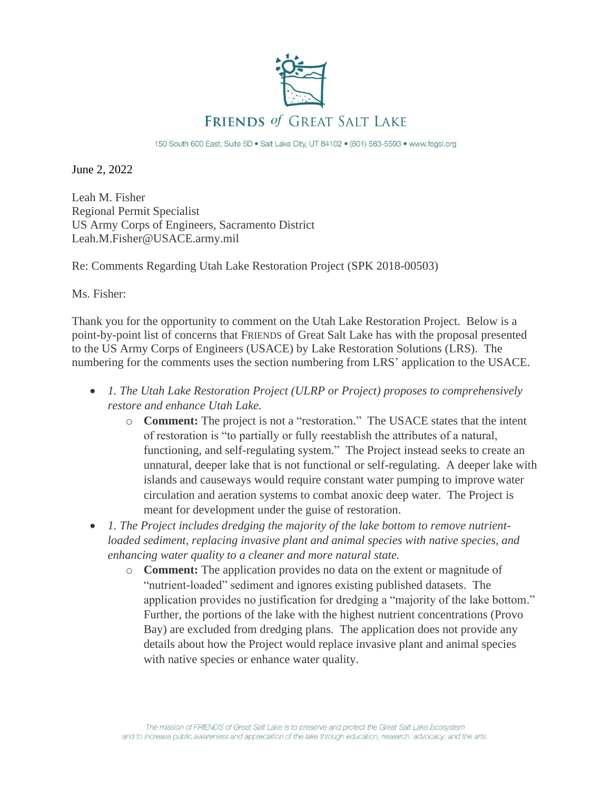

150 South 600 East, Suite 5D . Salt Lake City, UT 84102 . (801) 583-5593 . www.fogsl.org

June 2, 2022

Leah M. Fisher Regional Permit Specialist US Army Corps of Engineers, Sacramento District Leah.M.Fisher@USACE.army.mil

Re: Comments Regarding Utah Lake Restoration Project (SPK 2018-00503)

Ms. Fisher:

Thank you for the opportunity to comment on the Utah Lake Restoration Project. Below is a point-by-point list of concerns that FRIENDS of Great Salt Lake has with the proposal presented to the US Army Corps of Engineers (USACE) by Lake Restoration Solutions (LRS). The numbering for the comments uses the section numbering from LRS' application to the USACE.

- *1. The Utah Lake Restoration Project (ULRP or Project) proposes to comprehensively restore and enhance Utah Lake.* 
	- o **Comment:** The project is not a "restoration." The USACE states that the intent of restoration is "to partially or fully reestablish the attributes of a natural, functioning, and self-regulating system." The Project instead seeks to create an unnatural, deeper lake that is not functional or self-regulating. A deeper lake with islands and causeways would require constant water pumping to improve water circulation and aeration systems to combat anoxic deep water. The Project is meant for development under the guise of restoration.
- *1. The Project includes dredging the majority of the lake bottom to remove nutrientloaded sediment, replacing invasive plant and animal species with native species, and enhancing water quality to a cleaner and more natural state.* 
	- o **Comment:** The application provides no data on the extent or magnitude of "nutrient-loaded" sediment and ignores existing published datasets. The application provides no justification for dredging a "majority of the lake bottom." Further, the portions of the lake with the highest nutrient concentrations (Provo Bay) are excluded from dredging plans. The application does not provide any details about how the Project would replace invasive plant and animal species with native species or enhance water quality.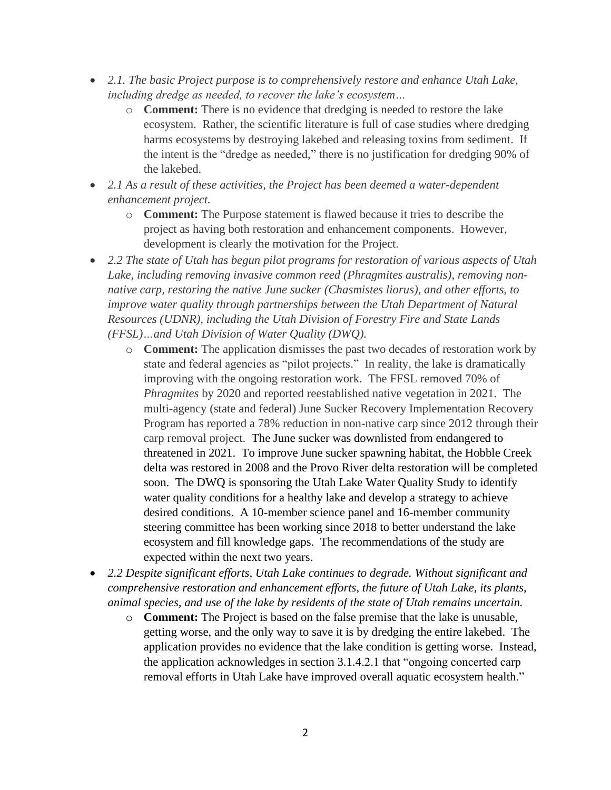- *2.1. The basic Project purpose is to comprehensively restore and enhance Utah Lake, including dredge as needed, to recover the lake's ecosystem…*
	- o **Comment:** There is no evidence that dredging is needed to restore the lake ecosystem. Rather, the scientific literature is full of case studies where dredging harms ecosystems by destroying lakebed and releasing toxins from sediment. If the intent is the "dredge as needed," there is no justification for dredging 90% of the lakebed.
- *2.1 As a result of these activities, the Project has been deemed a water-dependent enhancement project.* 
	- o **Comment:** The Purpose statement is flawed because it tries to describe the project as having both restoration and enhancement components. However, development is clearly the motivation for the Project.
- *2.2 The state of Utah has begun pilot programs for restoration of various aspects of Utah Lake, including removing invasive common reed (Phragmites australis), removing nonnative carp, restoring the native June sucker (Chasmistes liorus), and other efforts, to improve water quality through partnerships between the Utah Department of Natural Resources (UDNR), including the Utah Division of Forestry Fire and State Lands (FFSL)…and Utah Division of Water Quality (DWQ).*
	- o **Comment:** The application dismisses the past two decades of restoration work by state and federal agencies as "pilot projects." In reality, the lake is dramatically improving with the ongoing restoration work. The FFSL removed 70% of *Phragmites* by 2020 and reported reestablished native vegetation in 2021. The multi-agency (state and federal) June Sucker Recovery Implementation Recovery Program has reported a 78% reduction in non-native carp since 2012 through their carp removal project. The June sucker was downlisted from endangered to threatened in 2021. To improve June sucker spawning habitat, the Hobble Creek delta was restored in 2008 and the Provo River delta restoration will be completed soon. The DWQ is sponsoring the Utah Lake Water Quality Study to identify water quality conditions for a healthy lake and develop a strategy to achieve desired conditions. A 10-member science panel and 16-member community steering committee has been working since 2018 to better understand the lake ecosystem and fill knowledge gaps. The recommendations of the study are expected within the next two years.
- *2.2 Despite significant efforts, Utah Lake continues to degrade. Without significant and comprehensive restoration and enhancement efforts, the future of Utah Lake, its plants, animal species, and use of the lake by residents of the state of Utah remains uncertain.*
	- o **Comment:** The Project is based on the false premise that the lake is unusable, getting worse, and the only way to save it is by dredging the entire lakebed. The application provides no evidence that the lake condition is getting worse. Instead, the application acknowledges in section 3.1.4.2.1 that "ongoing concerted carp removal efforts in Utah Lake have improved overall aquatic ecosystem health."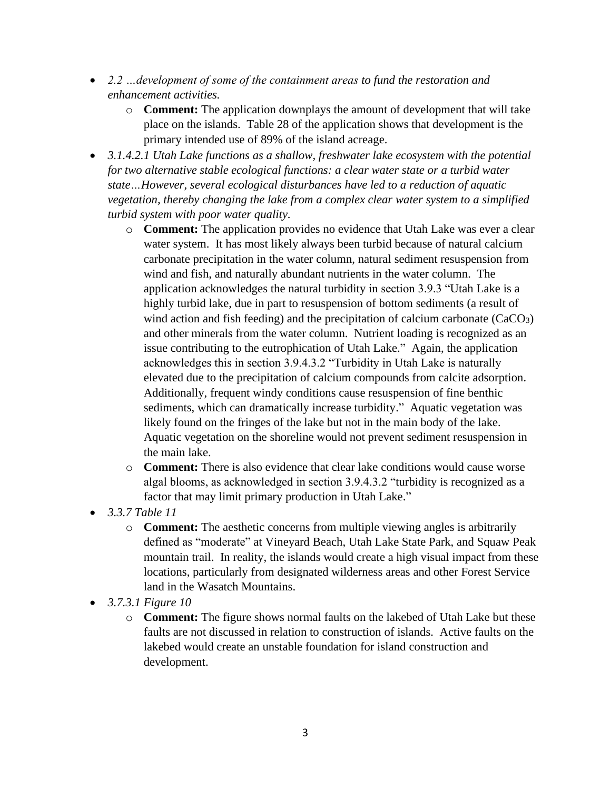- *2.2 …development of some of the containment areas to fund the restoration and enhancement activities.*
	- o **Comment:** The application downplays the amount of development that will take place on the islands. Table 28 of the application shows that development is the primary intended use of 89% of the island acreage.
- *3.1.4.2.1 Utah Lake functions as a shallow, freshwater lake ecosystem with the potential for two alternative stable ecological functions: a clear water state or a turbid water state…However, several ecological disturbances have led to a reduction of aquatic vegetation, thereby changing the lake from a complex clear water system to a simplified turbid system with poor water quality.*
	- o **Comment:** The application provides no evidence that Utah Lake was ever a clear water system. It has most likely always been turbid because of natural calcium carbonate precipitation in the water column, natural sediment resuspension from wind and fish, and naturally abundant nutrients in the water column. The application acknowledges the natural turbidity in section 3.9.3 "Utah Lake is a highly turbid lake, due in part to resuspension of bottom sediments (a result of wind action and fish feeding) and the precipitation of calcium carbonate  $(CaCO<sub>3</sub>)$ and other minerals from the water column. Nutrient loading is recognized as an issue contributing to the eutrophication of Utah Lake." Again, the application acknowledges this in section 3.9.4.3.2 "Turbidity in Utah Lake is naturally elevated due to the precipitation of calcium compounds from calcite adsorption. Additionally, frequent windy conditions cause resuspension of fine benthic sediments, which can dramatically increase turbidity." Aquatic vegetation was likely found on the fringes of the lake but not in the main body of the lake. Aquatic vegetation on the shoreline would not prevent sediment resuspension in the main lake.
	- o **Comment:** There is also evidence that clear lake conditions would cause worse algal blooms, as acknowledged in section 3.9.4.3.2 "turbidity is recognized as a factor that may limit primary production in Utah Lake."
- *3.3.7 Table 11*
	- o **Comment:** The aesthetic concerns from multiple viewing angles is arbitrarily defined as "moderate" at Vineyard Beach, Utah Lake State Park, and Squaw Peak mountain trail. In reality, the islands would create a high visual impact from these locations, particularly from designated wilderness areas and other Forest Service land in the Wasatch Mountains.
- *3.7.3.1 Figure 10*
	- o **Comment:** The figure shows normal faults on the lakebed of Utah Lake but these faults are not discussed in relation to construction of islands. Active faults on the lakebed would create an unstable foundation for island construction and development.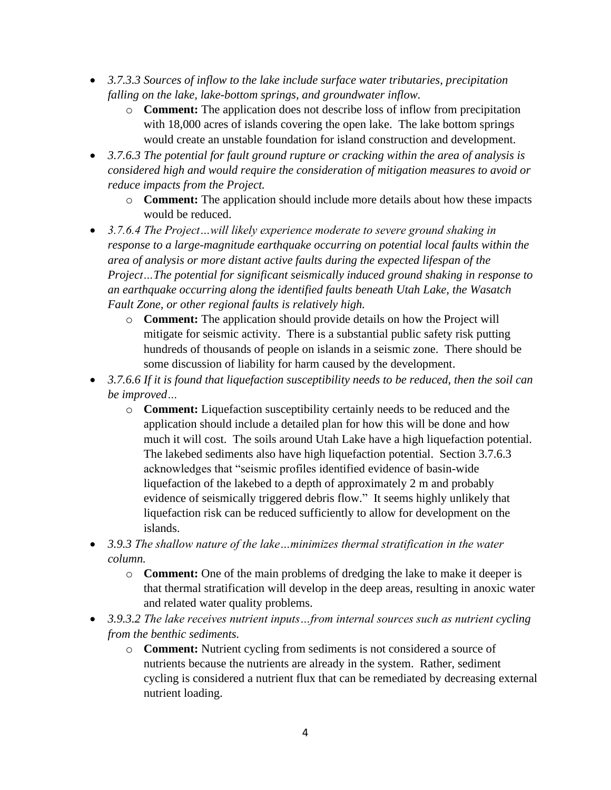- *3.7.3.3 Sources of inflow to the lake include surface water tributaries, precipitation falling on the lake, lake-bottom springs, and groundwater inflow.*
	- o **Comment:** The application does not describe loss of inflow from precipitation with 18,000 acres of islands covering the open lake. The lake bottom springs would create an unstable foundation for island construction and development.
- *3.7.6.3 The potential for fault ground rupture or cracking within the area of analysis is considered high and would require the consideration of mitigation measures to avoid or reduce impacts from the Project.*
	- o **Comment:** The application should include more details about how these impacts would be reduced.
- *3.7.6.4 The Project…will likely experience moderate to severe ground shaking in response to a large-magnitude earthquake occurring on potential local faults within the area of analysis or more distant active faults during the expected lifespan of the Project…The potential for significant seismically induced ground shaking in response to an earthquake occurring along the identified faults beneath Utah Lake, the Wasatch Fault Zone, or other regional faults is relatively high.*
	- o **Comment:** The application should provide details on how the Project will mitigate for seismic activity. There is a substantial public safety risk putting hundreds of thousands of people on islands in a seismic zone. There should be some discussion of liability for harm caused by the development.
- *3.7.6.6 If it is found that liquefaction susceptibility needs to be reduced, then the soil can be improved…*
	- o **Comment:** Liquefaction susceptibility certainly needs to be reduced and the application should include a detailed plan for how this will be done and how much it will cost. The soils around Utah Lake have a high liquefaction potential. The lakebed sediments also have high liquefaction potential. Section 3.7.6.3 acknowledges that "seismic profiles identified evidence of basin-wide liquefaction of the lakebed to a depth of approximately 2 m and probably evidence of seismically triggered debris flow." It seems highly unlikely that liquefaction risk can be reduced sufficiently to allow for development on the islands.
- *3.9.3 The shallow nature of the lake…minimizes thermal stratification in the water column.*
	- o **Comment:** One of the main problems of dredging the lake to make it deeper is that thermal stratification will develop in the deep areas, resulting in anoxic water and related water quality problems.
- *3.9.3.2 The lake receives nutrient inputs…from internal sources such as nutrient cycling from the benthic sediments.*
	- o **Comment:** Nutrient cycling from sediments is not considered a source of nutrients because the nutrients are already in the system. Rather, sediment cycling is considered a nutrient flux that can be remediated by decreasing external nutrient loading.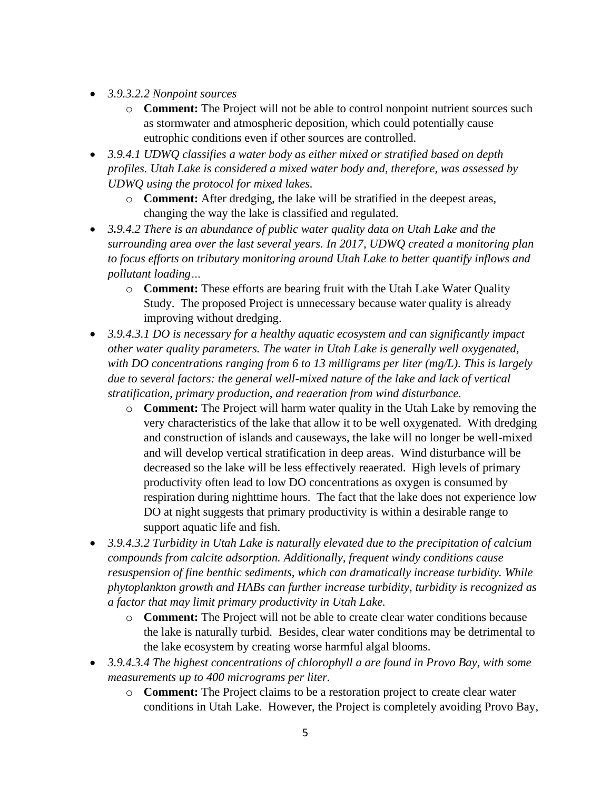- *3.9.3.2.2 Nonpoint sources*
	- o **Comment:** The Project will not be able to control nonpoint nutrient sources such as stormwater and atmospheric deposition, which could potentially cause eutrophic conditions even if other sources are controlled.
- *3.9.4.1 UDWQ classifies a water body as either mixed or stratified based on depth profiles. Utah Lake is considered a mixed water body and, therefore, was assessed by UDWQ using the protocol for mixed lakes.*
	- o **Comment:** After dredging, the lake will be stratified in the deepest areas, changing the way the lake is classified and regulated.
- *3.9.4.2 There is an abundance of public water quality data on Utah Lake and the surrounding area over the last several years. In 2017, UDWQ created a monitoring plan to focus efforts on tributary monitoring around Utah Lake to better quantify inflows and pollutant loading…*
	- o **Comment:** These efforts are bearing fruit with the Utah Lake Water Quality Study. The proposed Project is unnecessary because water quality is already improving without dredging.
- *3.9.4.3.1 DO is necessary for a healthy aquatic ecosystem and can significantly impact other water quality parameters. The water in Utah Lake is generally well oxygenated, with DO concentrations ranging from 6 to 13 milligrams per liter (mg/L). This is largely due to several factors: the general well-mixed nature of the lake and lack of vertical stratification, primary production, and reaeration from wind disturbance.* 
	- o **Comment:** The Project will harm water quality in the Utah Lake by removing the very characteristics of the lake that allow it to be well oxygenated. With dredging and construction of islands and causeways, the lake will no longer be well-mixed and will develop vertical stratification in deep areas. Wind disturbance will be decreased so the lake will be less effectively reaerated. High levels of primary productivity often lead to low DO concentrations as oxygen is consumed by respiration during nighttime hours. The fact that the lake does not experience low DO at night suggests that primary productivity is within a desirable range to support aquatic life and fish.
- *3.9.4.3.2 Turbidity in Utah Lake is naturally elevated due to the precipitation of calcium compounds from calcite adsorption. Additionally, frequent windy conditions cause resuspension of fine benthic sediments, which can dramatically increase turbidity. While phytoplankton growth and HABs can further increase turbidity, turbidity is recognized as a factor that may limit primary productivity in Utah Lake.* 
	- o **Comment:** The Project will not be able to create clear water conditions because the lake is naturally turbid. Besides, clear water conditions may be detrimental to the lake ecosystem by creating worse harmful algal blooms.
- *3.9.4.3.4 The highest concentrations of chlorophyll a are found in Provo Bay, with some measurements up to 400 micrograms per liter.*
	- o **Comment:** The Project claims to be a restoration project to create clear water conditions in Utah Lake. However, the Project is completely avoiding Provo Bay,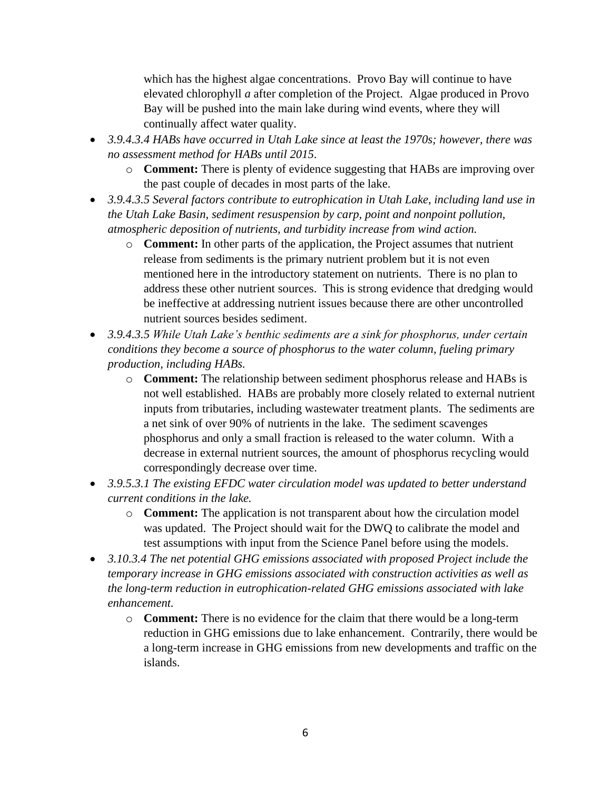which has the highest algae concentrations. Provo Bay will continue to have elevated chlorophyll *a* after completion of the Project. Algae produced in Provo Bay will be pushed into the main lake during wind events, where they will continually affect water quality.

- *3.9.4.3.4 HABs have occurred in Utah Lake since at least the 1970s; however, there was no assessment method for HABs until 2015.*
	- o **Comment:** There is plenty of evidence suggesting that HABs are improving over the past couple of decades in most parts of the lake.
- *3.9.4.3.5 Several factors contribute to eutrophication in Utah Lake, including land use in the Utah Lake Basin, sediment resuspension by carp, point and nonpoint pollution, atmospheric deposition of nutrients, and turbidity increase from wind action.*
	- o **Comment:** In other parts of the application, the Project assumes that nutrient release from sediments is the primary nutrient problem but it is not even mentioned here in the introductory statement on nutrients. There is no plan to address these other nutrient sources. This is strong evidence that dredging would be ineffective at addressing nutrient issues because there are other uncontrolled nutrient sources besides sediment.
- *3.9.4.3.5 While Utah Lake's benthic sediments are a sink for phosphorus, under certain conditions they become a source of phosphorus to the water column, fueling primary production, including HABs.*
	- o **Comment:** The relationship between sediment phosphorus release and HABs is not well established. HABs are probably more closely related to external nutrient inputs from tributaries, including wastewater treatment plants. The sediments are a net sink of over 90% of nutrients in the lake. The sediment scavenges phosphorus and only a small fraction is released to the water column. With a decrease in external nutrient sources, the amount of phosphorus recycling would correspondingly decrease over time.
- *3.9.5.3.1 The existing EFDC water circulation model was updated to better understand current conditions in the lake.* 
	- o **Comment:** The application is not transparent about how the circulation model was updated. The Project should wait for the DWQ to calibrate the model and test assumptions with input from the Science Panel before using the models.
- *3.10.3.4 The net potential GHG emissions associated with proposed Project include the temporary increase in GHG emissions associated with construction activities as well as the long-term reduction in eutrophication-related GHG emissions associated with lake enhancement.* 
	- o **Comment:** There is no evidence for the claim that there would be a long-term reduction in GHG emissions due to lake enhancement. Contrarily, there would be a long-term increase in GHG emissions from new developments and traffic on the islands.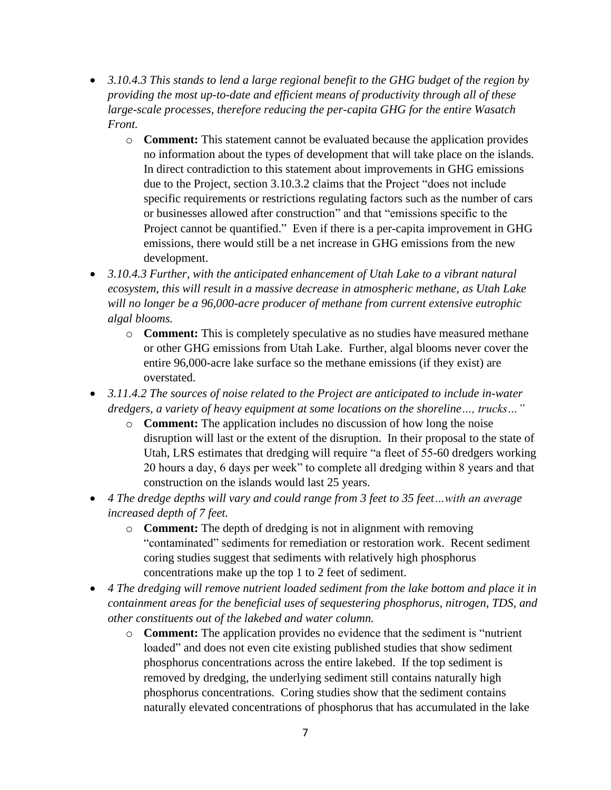- *3.10.4.3 This stands to lend a large regional benefit to the GHG budget of the region by providing the most up-to-date and efficient means of productivity through all of these large-scale processes, therefore reducing the per-capita GHG for the entire Wasatch Front.* 
	- o **Comment:** This statement cannot be evaluated because the application provides no information about the types of development that will take place on the islands. In direct contradiction to this statement about improvements in GHG emissions due to the Project, section 3.10.3.2 claims that the Project "does not include specific requirements or restrictions regulating factors such as the number of cars or businesses allowed after construction" and that "emissions specific to the Project cannot be quantified." Even if there is a per-capita improvement in GHG emissions, there would still be a net increase in GHG emissions from the new development.
- *3.10.4.3 Further, with the anticipated enhancement of Utah Lake to a vibrant natural ecosystem, this will result in a massive decrease in atmospheric methane, as Utah Lake will no longer be a 96,000-acre producer of methane from current extensive eutrophic algal blooms.* 
	- o **Comment:** This is completely speculative as no studies have measured methane or other GHG emissions from Utah Lake. Further, algal blooms never cover the entire 96,000-acre lake surface so the methane emissions (if they exist) are overstated.
- *3.11.4.2 The sources of noise related to the Project are anticipated to include in-water dredgers, a variety of heavy equipment at some locations on the shoreline…, trucks…"*
	- o **Comment:** The application includes no discussion of how long the noise disruption will last or the extent of the disruption. In their proposal to the state of Utah, LRS estimates that dredging will require "a fleet of 55-60 dredgers working 20 hours a day, 6 days per week" to complete all dredging within 8 years and that construction on the islands would last 25 years.
- *4 The dredge depths will vary and could range from 3 feet to 35 feet…with an average increased depth of 7 feet.* 
	- o **Comment:** The depth of dredging is not in alignment with removing "contaminated" sediments for remediation or restoration work. Recent sediment coring studies suggest that sediments with relatively high phosphorus concentrations make up the top 1 to 2 feet of sediment.
- *4 The dredging will remove nutrient loaded sediment from the lake bottom and place it in containment areas for the beneficial uses of sequestering phosphorus, nitrogen, TDS, and other constituents out of the lakebed and water column.*
	- o **Comment:** The application provides no evidence that the sediment is "nutrient loaded" and does not even cite existing published studies that show sediment phosphorus concentrations across the entire lakebed. If the top sediment is removed by dredging, the underlying sediment still contains naturally high phosphorus concentrations. Coring studies show that the sediment contains naturally elevated concentrations of phosphorus that has accumulated in the lake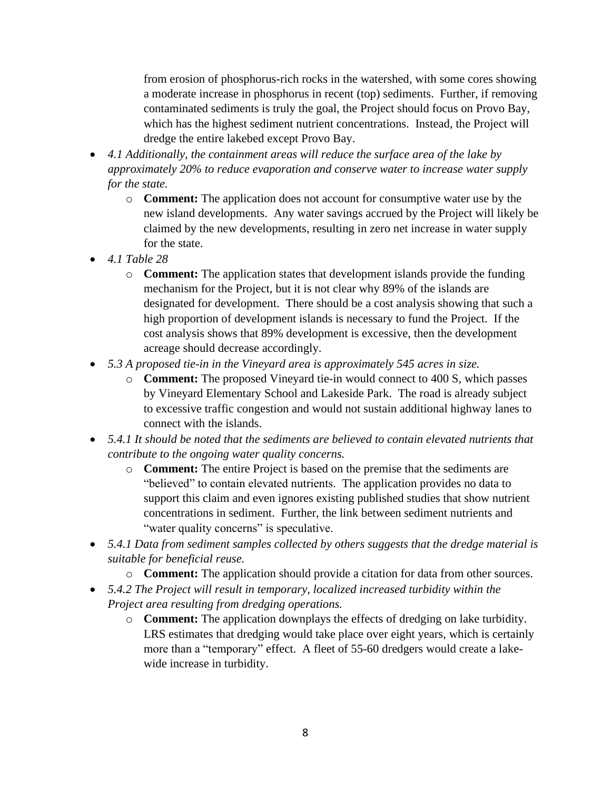from erosion of phosphorus-rich rocks in the watershed, with some cores showing a moderate increase in phosphorus in recent (top) sediments. Further, if removing contaminated sediments is truly the goal, the Project should focus on Provo Bay, which has the highest sediment nutrient concentrations. Instead, the Project will dredge the entire lakebed except Provo Bay.

- *4.1 Additionally, the containment areas will reduce the surface area of the lake by approximately 20% to reduce evaporation and conserve water to increase water supply for the state.*
	- o **Comment:** The application does not account for consumptive water use by the new island developments. Any water savings accrued by the Project will likely be claimed by the new developments, resulting in zero net increase in water supply for the state.
- *4.1 Table 28*
	- o **Comment:** The application states that development islands provide the funding mechanism for the Project, but it is not clear why 89% of the islands are designated for development. There should be a cost analysis showing that such a high proportion of development islands is necessary to fund the Project. If the cost analysis shows that 89% development is excessive, then the development acreage should decrease accordingly.
- *5.3 A proposed tie-in in the Vineyard area is approximately 545 acres in size.*
	- o **Comment:** The proposed Vineyard tie-in would connect to 400 S, which passes by Vineyard Elementary School and Lakeside Park. The road is already subject to excessive traffic congestion and would not sustain additional highway lanes to connect with the islands.
- *5.4.1 It should be noted that the sediments are believed to contain elevated nutrients that contribute to the ongoing water quality concerns.*
	- o **Comment:** The entire Project is based on the premise that the sediments are "believed" to contain elevated nutrients. The application provides no data to support this claim and even ignores existing published studies that show nutrient concentrations in sediment. Further, the link between sediment nutrients and "water quality concerns" is speculative.
- *5.4.1 Data from sediment samples collected by others suggests that the dredge material is suitable for beneficial reuse.*
	- o **Comment:** The application should provide a citation for data from other sources.
- *5.4.2 The Project will result in temporary, localized increased turbidity within the Project area resulting from dredging operations.*
	- o **Comment:** The application downplays the effects of dredging on lake turbidity. LRS estimates that dredging would take place over eight years, which is certainly more than a "temporary" effect. A fleet of 55-60 dredgers would create a lakewide increase in turbidity.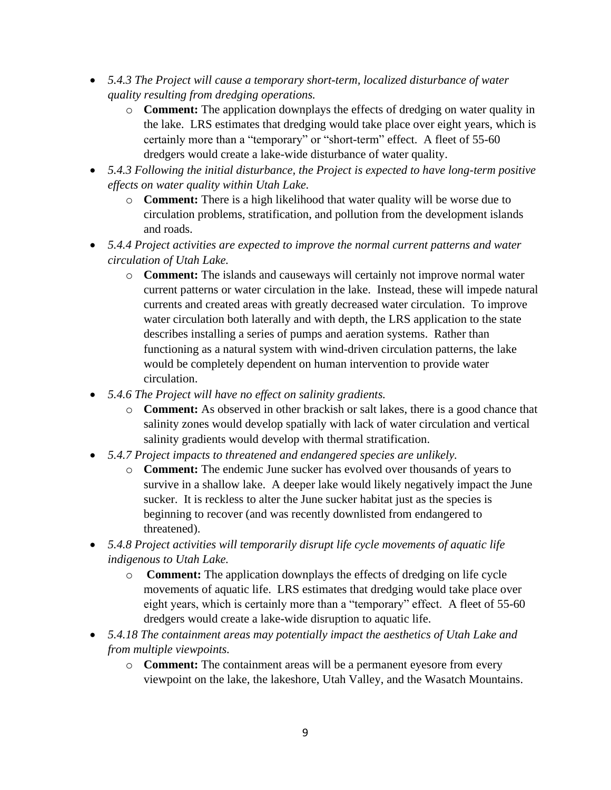- *5.4.3 The Project will cause a temporary short-term, localized disturbance of water quality resulting from dredging operations.*
	- o **Comment:** The application downplays the effects of dredging on water quality in the lake. LRS estimates that dredging would take place over eight years, which is certainly more than a "temporary" or "short-term" effect. A fleet of 55-60 dredgers would create a lake-wide disturbance of water quality.
- *5.4.3 Following the initial disturbance, the Project is expected to have long-term positive effects on water quality within Utah Lake.*
	- o **Comment:** There is a high likelihood that water quality will be worse due to circulation problems, stratification, and pollution from the development islands and roads.
- *5.4.4 Project activities are expected to improve the normal current patterns and water circulation of Utah Lake.* 
	- o **Comment:** The islands and causeways will certainly not improve normal water current patterns or water circulation in the lake. Instead, these will impede natural currents and created areas with greatly decreased water circulation. To improve water circulation both laterally and with depth, the LRS application to the state describes installing a series of pumps and aeration systems. Rather than functioning as a natural system with wind-driven circulation patterns, the lake would be completely dependent on human intervention to provide water circulation.
- *5.4.6 The Project will have no effect on salinity gradients.*
	- o **Comment:** As observed in other brackish or salt lakes, there is a good chance that salinity zones would develop spatially with lack of water circulation and vertical salinity gradients would develop with thermal stratification.
- *5.4.7 Project impacts to threatened and endangered species are unlikely.*
	- o **Comment:** The endemic June sucker has evolved over thousands of years to survive in a shallow lake. A deeper lake would likely negatively impact the June sucker. It is reckless to alter the June sucker habitat just as the species is beginning to recover (and was recently downlisted from endangered to threatened).
- *5.4.8 Project activities will temporarily disrupt life cycle movements of aquatic life indigenous to Utah Lake.*
	- o **Comment:** The application downplays the effects of dredging on life cycle movements of aquatic life. LRS estimates that dredging would take place over eight years, which is certainly more than a "temporary" effect. A fleet of 55-60 dredgers would create a lake-wide disruption to aquatic life.
- *5.4.18 The containment areas may potentially impact the aesthetics of Utah Lake and from multiple viewpoints.*
	- o **Comment:** The containment areas will be a permanent eyesore from every viewpoint on the lake, the lakeshore, Utah Valley, and the Wasatch Mountains.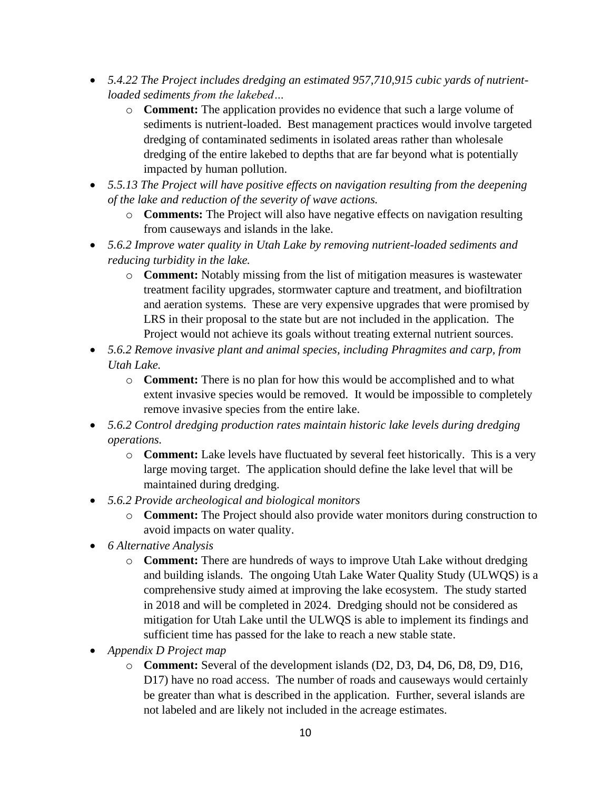- *5.4.22 The Project includes dredging an estimated 957,710,915 cubic yards of nutrientloaded sediments from the lakebed…*
	- o **Comment:** The application provides no evidence that such a large volume of sediments is nutrient-loaded. Best management practices would involve targeted dredging of contaminated sediments in isolated areas rather than wholesale dredging of the entire lakebed to depths that are far beyond what is potentially impacted by human pollution.
- *5.5.13 The Project will have positive effects on navigation resulting from the deepening of the lake and reduction of the severity of wave actions.*
	- o **Comments:** The Project will also have negative effects on navigation resulting from causeways and islands in the lake.
- *5.6.2 Improve water quality in Utah Lake by removing nutrient-loaded sediments and reducing turbidity in the lake.* 
	- o **Comment:** Notably missing from the list of mitigation measures is wastewater treatment facility upgrades, stormwater capture and treatment, and biofiltration and aeration systems. These are very expensive upgrades that were promised by LRS in their proposal to the state but are not included in the application. The Project would not achieve its goals without treating external nutrient sources.
- *5.6.2 Remove invasive plant and animal species, including Phragmites and carp, from Utah Lake.*
	- o **Comment:** There is no plan for how this would be accomplished and to what extent invasive species would be removed. It would be impossible to completely remove invasive species from the entire lake.
- *5.6.2 Control dredging production rates maintain historic lake levels during dredging operations.*
	- o **Comment:** Lake levels have fluctuated by several feet historically. This is a very large moving target. The application should define the lake level that will be maintained during dredging.
- *5.6.2 Provide archeological and biological monitors*
	- o **Comment:** The Project should also provide water monitors during construction to avoid impacts on water quality.
- *6 Alternative Analysis*
	- o **Comment:** There are hundreds of ways to improve Utah Lake without dredging and building islands. The ongoing Utah Lake Water Quality Study (ULWQS) is a comprehensive study aimed at improving the lake ecosystem. The study started in 2018 and will be completed in 2024. Dredging should not be considered as mitigation for Utah Lake until the ULWQS is able to implement its findings and sufficient time has passed for the lake to reach a new stable state.
- *Appendix D Project map*
	- o **Comment:** Several of the development islands (D2, D3, D4, D6, D8, D9, D16, D17) have no road access. The number of roads and causeways would certainly be greater than what is described in the application. Further, several islands are not labeled and are likely not included in the acreage estimates.